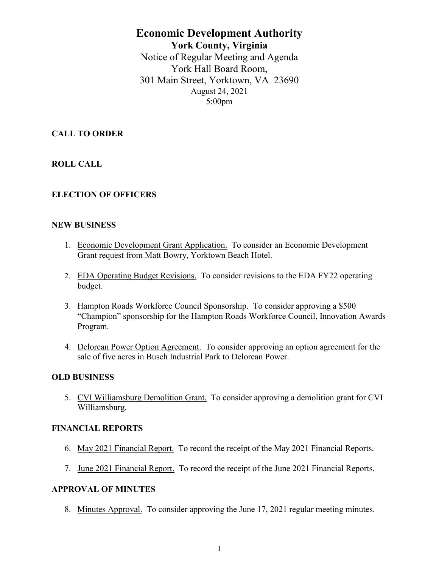# **Economic Development Authority York County, Virginia** Notice of Regular Meeting and Agenda York Hall Board Room, 301 Main Street, Yorktown, VA 23690 August 24, 2021 5:00pm

**CALL TO ORDER**

**ROLL CALL**

# **ELECTION OF OFFICERS**

### **NEW BUSINESS**

- 1. Economic Development Grant Application. To consider an Economic Development Grant request from Matt Bowry, Yorktown Beach Hotel.
- 2. EDA Operating Budget Revisions. To consider revisions to the EDA FY22 operating budget.
- 3. Hampton Roads Workforce Council Sponsorship. To consider approving a \$500 "Champion" sponsorship for the Hampton Roads Workforce Council, Innovation Awards Program.
- 4. Delorean Power Option Agreement. To consider approving an option agreement for the sale of five acres in Busch Industrial Park to Delorean Power.

### **OLD BUSINESS**

5. CVI Williamsburg Demolition Grant. To consider approving a demolition grant for CVI Williamsburg.

# **FINANCIAL REPORTS**

- 6. May 2021 Financial Report. To record the receipt of the May 2021 Financial Reports.
- 7. June 2021 Financial Report. To record the receipt of the June 2021 Financial Reports.

### **APPROVAL OF MINUTES**

8. Minutes Approval. To consider approving the June 17, 2021 regular meeting minutes.